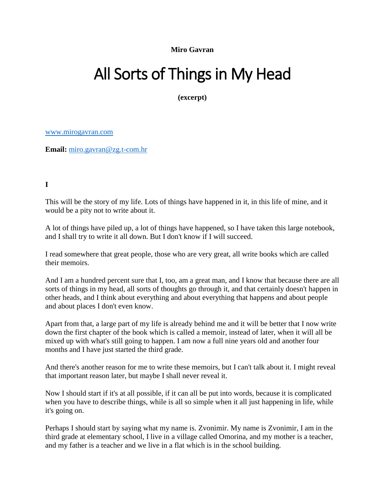**Miro Gavran**

## All Sorts of Things in My Head

**(excerpt)**

[www.mirogavran.com](http://www.mirogavran.com/)

**Email:** [miro.gavran@zg.t-com.hr](mailto:miro.gavran@zg.t-com.hr)

**I**

This will be the story of my life. Lots of things have happened in it, in this life of mine, and it would be a pity not to write about it.

A lot of things have piled up, a lot of things have happened, so I have taken this large notebook, and I shall try to write it all down. But I don't know if I will succeed.

I read somewhere that great people, those who are very great, all write books which are called their memoirs.

And I am a hundred percent sure that I, too, am a great man, and I know that because there are all sorts of things in my head, all sorts of thoughts go through it, and that certainly doesn't happen in other heads, and I think about everything and about everything that happens and about people and about places I don't even know.

Apart from that, a large part of my life is already behind me and it will be better that I now write down the first chapter of the book which is called a memoir, instead of later, when it will all be mixed up with what's still going to happen. I am now a full nine years old and another four months and I have just started the third grade.

And there's another reason for me to write these memoirs, but I can't talk about it. I might reveal that important reason later, but maybe I shall never reveal it.

Now I should start if it's at all possible, if it can all be put into words, because it is complicated when you have to describe things, while is all so simple when it all just happening in life, while it's going on.

Perhaps I should start by saying what my name is. Zvonimir. My name is Zvonimir, I am in the third grade at elementary school, I live in a village called Omorina, and my mother is a teacher, and my father is a teacher and we live in a flat which is in the school building.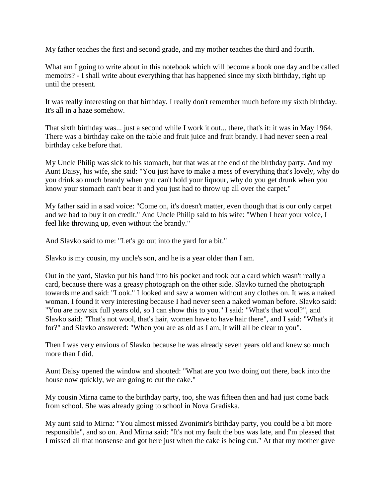My father teaches the first and second grade, and my mother teaches the third and fourth.

What am I going to write about in this notebook which will become a book one day and be called memoirs? - I shall write about everything that has happened since my sixth birthday, right up until the present.

It was really interesting on that birthday. I really don't remember much before my sixth birthday. It's all in a haze somehow.

That sixth birthday was... just a second while I work it out... there, that's it: it was in May 1964. There was a birthday cake on the table and fruit juice and fruit brandy. I had never seen a real birthday cake before that.

My Uncle Philip was sick to his stomach, but that was at the end of the birthday party. And my Aunt Daisy, his wife, she said: "You just have to make a mess of everything that's lovely, why do you drink so much brandy when you can't hold your liquour, why do you get drunk when you know your stomach can't bear it and you just had to throw up all over the carpet."

My father said in a sad voice: "Come on, it's doesn't matter, even though that is our only carpet and we had to buy it on credit." And Uncle Philip said to his wife: "When I hear your voice, I feel like throwing up, even without the brandy."

And Slavko said to me: "Let's go out into the yard for a bit."

Slavko is my cousin, my uncle's son, and he is a year older than I am.

Out in the yard, Slavko put his hand into his pocket and took out a card which wasn't really a card, because there was a greasy photograph on the other side. Slavko turned the photograph towards me and said: "Look." I looked and saw a women without any clothes on. It was a naked woman. I found it very interesting because I had never seen a naked woman before. Slavko said: "You are now six full years old, so I can show this to you." I said: "What's that wool?", and Slavko said: "That's not wool, that's hair, women have to have hair there", and I said: "What's it for?" and Slavko answered: "When you are as old as I am, it will all be clear to you".

Then I was very envious of Slavko because he was already seven years old and knew so much more than I did.

Aunt Daisy opened the window and shouted: "What are you two doing out there, back into the house now quickly, we are going to cut the cake."

My cousin Mirna came to the birthday party, too, she was fifteen then and had just come back from school. She was already going to school in Nova Gradiska.

My aunt said to Mirna: "You almost missed Zvonimir's birthday party, you could be a bit more responsible", and so on. And Mirna said: "It's not my fault the bus was late, and I'm pleased that I missed all that nonsense and got here just when the cake is being cut." At that my mother gave